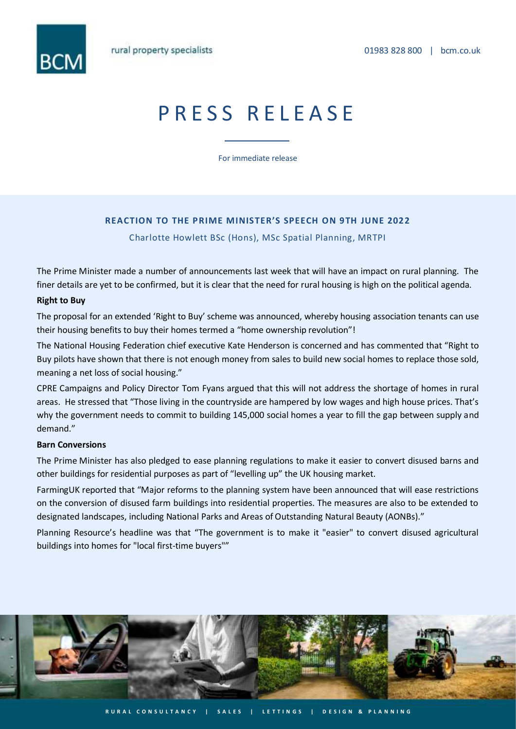

# PRESS RELEASE

For immediate release

# **REACTION TO THE PRIME MINISTER'S SPEECH ON 9TH JUNE 2022**

Charlotte Howlett BSc (Hons), MSc Spatial Planning, MRTPI

The Prime Minister made a number of announcements last week that will have an impact on rural planning. The finer details are yet to be confirmed, but it is clear that the need for rural housing is high on the political agenda.

## **Right to Buy**

The proposal for an extended 'Right to Buy' scheme was announced, whereby housing association tenants can use their housing benefits to buy their homes termed a "home ownership revolution"!

The National Housing Federation chief executive Kate Henderson is concerned and has commented that "Right to Buy pilots have shown that there is not enough money from sales to build new social homes to replace those sold, meaning a net loss of social housing."

CPRE Campaigns and Policy Director Tom Fyans argued that this will not address the shortage of homes in rural areas. He stressed that "Those living in the countryside are hampered by low wages and high house prices. That's why the government needs to commit to building 145,000 social homes a year to fill the gap between supply and demand."

#### **Barn Conversions**

The Prime Minister has also pledged to ease planning regulations to make it easier to convert disused barns and other buildings for residential purposes as part of "levelling up" the UK housing market.

FarmingUK reported that "Major reforms to the planning system have been announced that will ease restrictions on the conversion of disused farm buildings into residential properties. The measures are also to be extended to designated landscapes, including National Parks and Areas of Outstanding Natural Beauty (AONBs)."

Planning Resource's headline was that "The government is to make it "easier" to convert disused agricultural buildings into homes for "local first-time buyers""